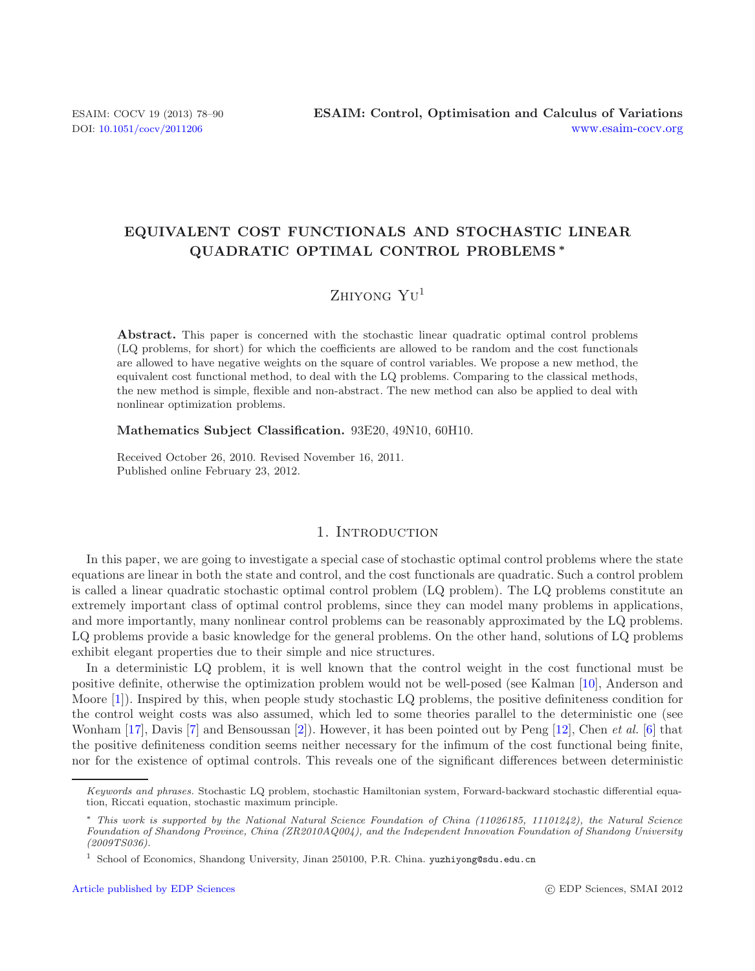## **EQUIVALENT COST FUNCTIONALS AND STOCHASTIC LINEAR QUADRATIC OPTIMAL CONTROL PROBLEMS** *∗*

# $Z$ hiyong  $YU^1$

**Abstract.** This paper is concerned with the stochastic linear quadratic optimal control problems (LQ problems, for short) for which the coefficients are allowed to be random and the cost functionals are allowed to have negative weights on the square of control variables. We propose a new method, the equivalent cost functional method, to deal with the LQ problems. Comparing to the classical methods, the new method is simple, flexible and non-abstract. The new method can also be applied to deal with nonlinear optimization problems.

#### **Mathematics Subject Classification.** 93E20, 49N10, 60H10.

Received October 26, 2010. Revised November 16, 2011. Published online February 23, 2012.

## 1. INTRODUCTION

In this paper, we are going to investigate a special case of stochastic optimal control problems where the state equations are linear in both the state and control, and the cost functionals are quadratic. Such a control problem is called a linear quadratic stochastic optimal control problem (LQ problem). The LQ problems constitute an extremely important class of optimal control problems, since they can model many problems in applications, and more importantly, many nonlinear control problems can be reasonably approximated by the LQ problems. LQ problems provide a basic knowledge for the general problems. On the other hand, solutions of LQ problems exhibit elegant properties due to their simple and nice structures.

In a deterministic LQ problem, it is well known that the control weight in the cost functional must be positive definite, otherwise the optimization problem would not be well-posed (see Kalman [\[10](#page-11-0)], Anderson and Moore [\[1\]](#page-11-1)). Inspired by this, when people study stochastic LQ problems, the positive definiteness condition for the control weight costs was also assumed, which led to some theories parallel to the deterministic one (see Wonham [\[17](#page-12-0)], Davis [\[7\]](#page-11-2) and Bensoussan [\[2\]](#page-11-3)). However, it has been pointed out by Peng [\[12](#page-12-1)], Chen *et al.* [\[6\]](#page-11-4) that the positive definiteness condition seems neither necessary for the infimum of the cost functional being finite, nor for the existence of optimal controls. This reveals one of the significant differences between deterministic

Keywords and phrases. Stochastic LQ problem, stochastic Hamiltonian system, Forward-backward stochastic differential equation, Riccati equation, stochastic maximum principle.

<sup>∗</sup> This work is supported by the National Natural Science Foundation of China (11026185, 11101242), the Natural Science Foundation of Shandong Province, China (ZR2010AQ004), and the Independent Innovation Foundation of Shandong University (2009TS036).

<sup>1</sup> School of Economics, Shandong University, Jinan 250100, P.R. China. yuzhiyong@sdu.edu.cn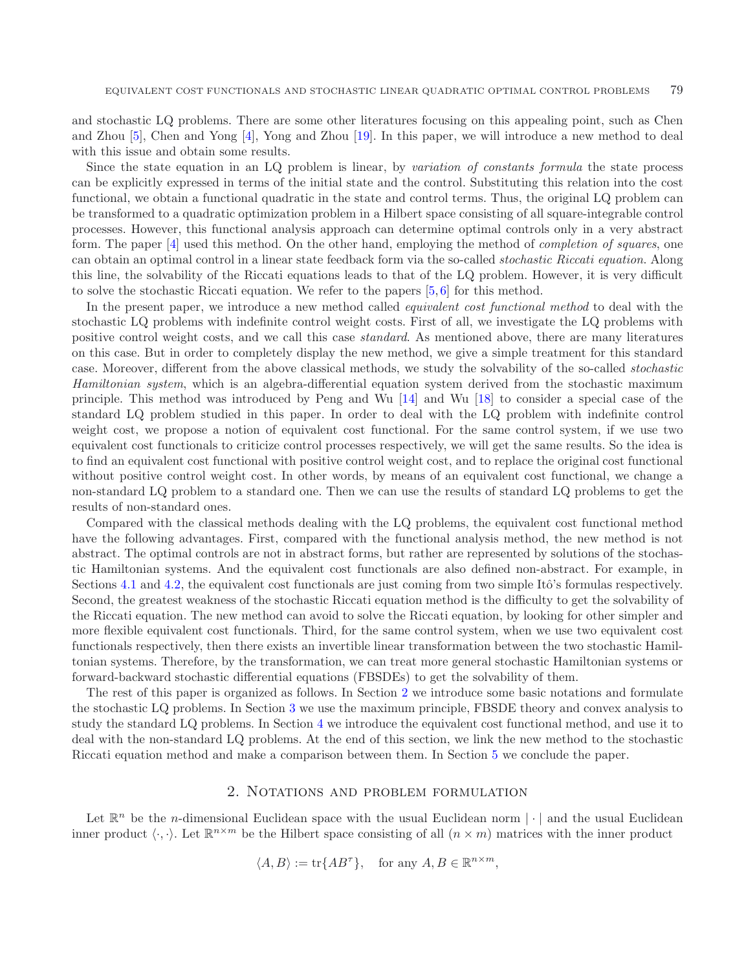and stochastic LQ problems. There are some other literatures focusing on this appealing point, such as Chen and Zhou [\[5\]](#page-11-5), Chen and Yong [\[4\]](#page-11-6), Yong and Zhou [\[19\]](#page-12-2). In this paper, we will introduce a new method to deal with this issue and obtain some results.

Since the state equation in an LQ problem is linear, by *variation of constants formula* the state process can be explicitly expressed in terms of the initial state and the control. Substituting this relation into the cost functional, we obtain a functional quadratic in the state and control terms. Thus, the original LQ problem can be transformed to a quadratic optimization problem in a Hilbert space consisting of all square-integrable control processes. However, this functional analysis approach can determine optimal controls only in a very abstract form. The paper [\[4\]](#page-11-6) used this method. On the other hand, employing the method of *completion of squares*, one can obtain an optimal control in a linear state feedback form via the so-called *stochastic Riccati equation*. Along this line, the solvability of the Riccati equations leads to that of the LQ problem. However, it is very difficult to solve the stochastic Riccati equation. We refer to the papers  $[5, 6]$  $[5, 6]$  $[5, 6]$  $[5, 6]$  for this method.

In the present paper, we introduce a new method called *equivalent cost functional method* to deal with the stochastic LQ problems with indefinite control weight costs. First of all, we investigate the LQ problems with positive control weight costs, and we call this case *standard*. As mentioned above, there are many literatures on this case. But in order to completely display the new method, we give a simple treatment for this standard case. Moreover, different from the above classical methods, we study the solvability of the so-called *stochastic Hamiltonian system*, which is an algebra-differential equation system derived from the stochastic maximum principle. This method was introduced by Peng and Wu [\[14](#page-12-3)] and Wu [\[18\]](#page-12-4) to consider a special case of the standard LQ problem studied in this paper. In order to deal with the LQ problem with indefinite control weight cost, we propose a notion of equivalent cost functional. For the same control system, if we use two equivalent cost functionals to criticize control processes respectively, we will get the same results. So the idea is to find an equivalent cost functional with positive control weight cost, and to replace the original cost functional without positive control weight cost. In other words, by means of an equivalent cost functional, we change a non-standard LQ problem to a standard one. Then we can use the results of standard LQ problems to get the results of non-standard ones.

Compared with the classical methods dealing with the LQ problems, the equivalent cost functional method have the following advantages. First, compared with the functional analysis method, the new method is not abstract. The optimal controls are not in abstract forms, but rather are represented by solutions of the stochastic Hamiltonian systems. And the equivalent cost functionals are also defined non-abstract. For example, in Sections [4.1](#page-6-0) and [4.2,](#page-9-0) the equivalent cost functionals are just coming from two simple Itô's formulas respectively. Second, the greatest weakness of the stochastic Riccati equation method is the difficulty to get the solvability of the Riccati equation. The new method can avoid to solve the Riccati equation, by looking for other simpler and more flexible equivalent cost functionals. Third, for the same control system, when we use two equivalent cost functionals respectively, then there exists an invertible linear transformation between the two stochastic Hamiltonian systems. Therefore, by the transformation, we can treat more general stochastic Hamiltonian systems or forward-backward stochastic differential equations (FBSDEs) to get the solvability of them.

The rest of this paper is organized as follows. In Section [2](#page-1-0) we introduce some basic notations and formulate the stochastic LQ problems. In Section [3](#page-3-0) we use the maximum principle, FBSDE theory and convex analysis to study the standard LQ problems. In Section [4](#page-5-0) we introduce the equivalent cost functional method, and use it to deal with the non-standard LQ problems. At the end of this section, we link the new method to the stochastic Riccati equation method and make a comparison between them. In Section [5](#page-11-7) we conclude the paper.

### 2. Notations and problem formulation

<span id="page-1-0"></span>Let  $\mathbb{R}^n$  be the *n*-dimensional Euclidean space with the usual Euclidean norm  $|\cdot|$  and the usual Euclidean inner product  $\langle \cdot, \cdot \rangle$ . Let  $\mathbb{R}^{n \times m}$  be the Hilbert space consisting of all  $(n \times m)$  matrices with the inner product

$$
\langle A, B \rangle := \text{tr}\{AB^{\tau}\}, \text{ for any } A, B \in \mathbb{R}^{n \times m},
$$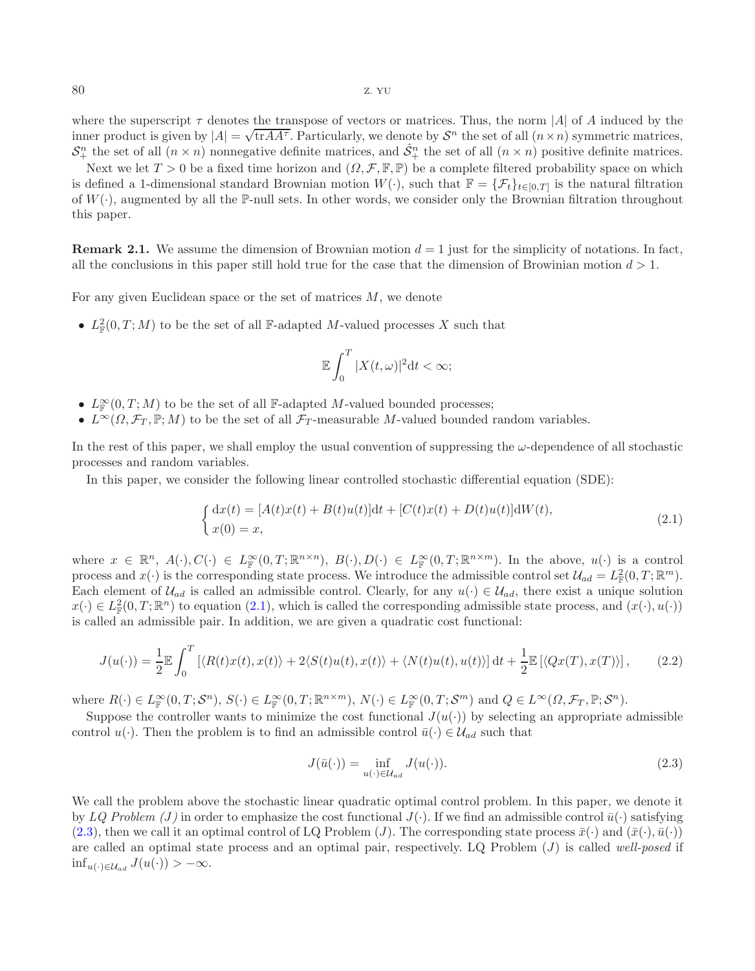where the superscript  $\tau$  denotes the transpose of vectors or matrices. Thus, the norm |A| of A induced by the where the superscript  $\tau$  denotes the transpose of vectors of matrices. Thus, the norm |A| or A model by the inner product is given by  $|A| = \sqrt{\text{tr}AA^{\tau}}$ . Particularly, we denote by  $S^n$  the set of all  $(n \times n)$  symmetric  $S_+^n$  the set of all  $(n \times n)$  nonnegative definite matrices, and  $\hat{S}_+^n$  the set of all  $(n \times n)$  positive definite matrices.

Next we let  $T > 0$  be a fixed time horizon and  $(\Omega, \mathcal{F}, \mathbb{F}, \mathbb{P})$  be a complete filtered probability space on which is defined a 1-dimensional standard Brownian motion  $W(\cdot)$ , such that  $\mathbb{F} = {\mathcal{F}_t}_{t\in[0,T]}$  is the natural filtration of  $W(\cdot)$ , augmented by all the P-null sets. In other words, we consider only the Brownian filtration throughout this paper.

**Remark 2.1.** We assume the dimension of Brownian motion  $d = 1$  just for the simplicity of notations. In fact, all the conclusions in this paper still hold true for the case that the dimension of Browinian motion  $d > 1$ .

For any given Euclidean space or the set of matrices M, we denote

•  $L^2_{\mathbb{F}}(0,T;M)$  to be the set of all F-adapted M-valued processes X such that

<span id="page-2-1"></span><span id="page-2-0"></span>
$$
\mathbb{E}\int_0^T |X(t,\omega)|^2 \mathrm{d}t < \infty;
$$

- $L^{\infty}_{\mathbb{F}}(0,T;M)$  to be the set of all  $\mathbb{F}\text{-adapted }M\text{-valued bounded processes};$
- $L^{\infty}(\Omega, \mathcal{F}_T, \mathbb{P}; M)$  to be the set of all  $\mathcal{F}_T$ -measurable M-valued bounded random variables.

In the rest of this paper, we shall employ the usual convention of suppressing the  $\omega$ -dependence of all stochastic processes and random variables.

In this paper, we consider the following linear controlled stochastic differential equation (SDE):

$$
\begin{cases} dx(t) = [A(t)x(t) + B(t)u(t)]dt + [C(t)x(t) + D(t)u(t)]dW(t), \\ x(0) = x, \end{cases}
$$
\n(2.1)

where  $x \in \mathbb{R}^n$ ,  $A(\cdot), C(\cdot) \in L^{\infty}_{\mathbb{F}}(0,T;\mathbb{R}^{n\times n})$ ,  $B(\cdot), D(\cdot) \in L^{\infty}_{\mathbb{F}}(0,T;\mathbb{R}^{n\times m})$ . In the above,  $u(\cdot)$  is a control process and  $x(\cdot)$  is the corresponding state process. We introduce the admissible control set  $\mathcal{U}_{ad} = L^2_{\mathbb{F}}(0,T;\mathbb{R}^m)$ . Each element of  $\mathcal{U}_{ad}$  is called an admissible control. Clearly, for any  $u(\cdot) \in \mathcal{U}_{ad}$ , there exist a unique solution  $x(\cdot) \in L^2_{\mathbb{F}}(0,T;\mathbb{R}^n)$  to equation  $(2.1)$ , which is called the corresponding admissible state process, and  $(x(\cdot), u(\cdot))$ is called an admissible pair. In addition, we are given a quadratic cost functional:

$$
J(u(\cdot)) = \frac{1}{2} \mathbb{E} \int_0^T \left[ \langle R(t)x(t), x(t) \rangle + 2 \langle S(t)u(t), x(t) \rangle + \langle N(t)u(t), u(t) \rangle \right] dt + \frac{1}{2} \mathbb{E} \left[ \langle Qx(T), x(T) \rangle \right],\tag{2.2}
$$

where  $R(\cdot) \in L^{\infty}_{\mathbb{F}}(0,T;\mathcal{S}^n), S(\cdot) \in L^{\infty}_{\mathbb{F}}(0,T;\mathbb{R}^{n\times m}), N(\cdot) \in L^{\infty}_{\mathbb{F}}(0,T;\mathcal{S}^m)$  and  $Q \in L^{\infty}(\Omega,\mathcal{F}_T,\mathbb{P};\mathcal{S}^n)$ .

Suppose the controller wants to minimize the cost functional  $J(u(\cdot))$  by selecting an appropriate admissible control  $u(\cdot)$ . Then the problem is to find an admissible control  $\bar{u}(\cdot) \in \mathcal{U}_{ad}$  such that

$$
J(\bar{u}(\cdot)) = \inf_{u(\cdot) \in \mathcal{U}_{ad}} J(u(\cdot)).
$$
\n(2.3)

We call the problem above the stochastic linear quadratic optimal control problem. In this paper, we denote it by *LQ Problem (J)* in order to emphasize the cost functional  $J(\cdot)$ . If we find an admissible control  $\bar{u}(\cdot)$  satisfying [\(2.3\)](#page-2-1), then we call it an optimal control of LQ Problem (J). The corresponding state process  $\bar{x}(\cdot)$  and  $(\bar{x}(\cdot), \bar{u}(\cdot))$ are called an optimal state process and an optimal pair, respectively. LQ Problem (J) is called *well-posed* if inf<sub>u(·)∈U<sub>ad</sub></sub>  $J(u(·)) > -\infty$ .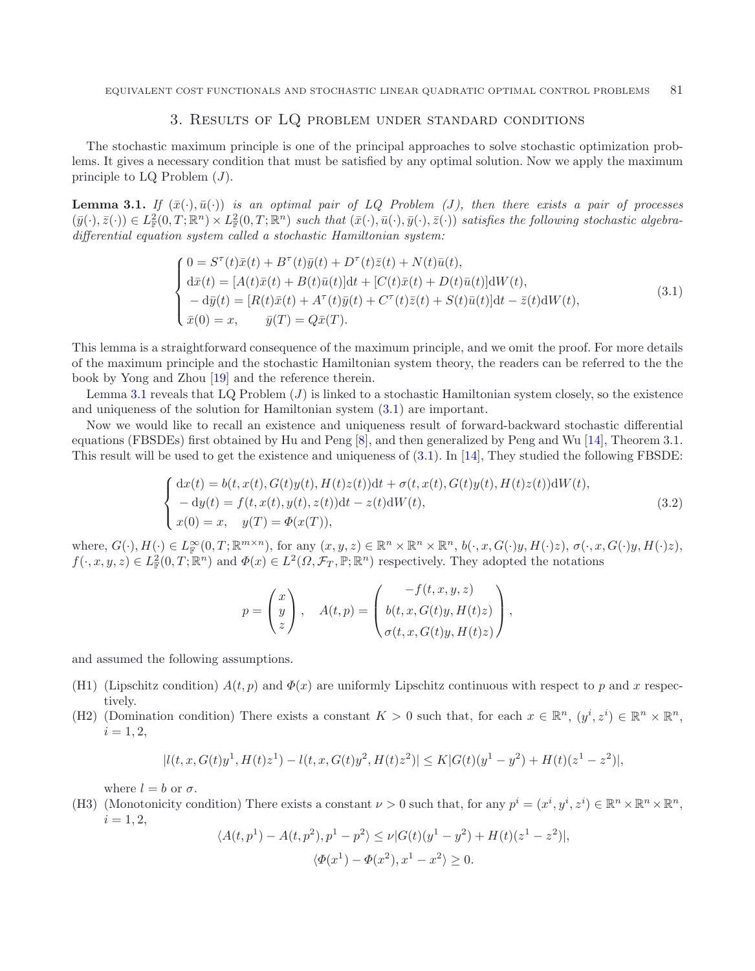## <span id="page-3-2"></span>3. Results of LQ problem under standard conditions

<span id="page-3-0"></span>The stochastic maximum principle is one of the principal approaches to solve stochastic optimization problems. It gives a necessary condition that must be satisfied by any optimal solution. Now we apply the maximum principle to LQ Problem  $(J)$ .

<span id="page-3-1"></span>**Lemma 3.1.** *If*  $(\bar{x}(\cdot), \bar{u}(\cdot))$  *is an optimal pair of LQ Problem (J), then there exists a pair of processes*  $(\bar{y}(\cdot), \bar{z}(\cdot)) \in L^2_{\mathbb{F}}(0,T;\mathbb{R}^n) \times L^2_{\mathbb{F}}(0,T;\mathbb{R}^n)$  such that  $(\bar{x}(\cdot), \bar{u}(\cdot), \bar{y}(\cdot), \bar{z}(\cdot))$  satisfies the following stochastic algebra*differential equation system called a stochastic Hamiltonian system:*

$$
\begin{cases}\n0 = S^{\tau}(t)\bar{x}(t) + B^{\tau}(t)\bar{y}(t) + D^{\tau}(t)\bar{z}(t) + N(t)\bar{u}(t),\nd\bar{x}(t) = [A(t)\bar{x}(t) + B(t)\bar{u}(t)]dt + [C(t)\bar{x}(t) + D(t)\bar{u}(t)]dW(t),\n-d\bar{y}(t) = [R(t)\bar{x}(t) + A^{\tau}(t)\bar{y}(t) + C^{\tau}(t)\bar{z}(t) + S(t)\bar{u}(t)]dt - \bar{z}(t)dW(t),\n\bar{x}(0) = x, \qquad \bar{y}(T) = Q\bar{x}(T).\n\end{cases}
$$
\n(3.1)

<span id="page-3-6"></span>This lemma is a straightforward consequence of the maximum principle, and we omit the proof. For more details of the maximum principle and the stochastic Hamiltonian system theory, the readers can be referred to the the book by Yong and Zhou [\[19](#page-12-2)] and the reference therein.

Lemma [3.1](#page-3-1) reveals that LQ Problem  $(J)$  is linked to a stochastic Hamiltonian system closely, so the existence and uniqueness of the solution for Hamiltonian system [\(3.1\)](#page-3-2) are important.

Now we would like to recall an existence and uniqueness result of forward-backward stochastic differential equations (FBSDEs) first obtained by Hu and Peng [\[8\]](#page-11-8), and then generalized by Peng and Wu [\[14\]](#page-12-3), Theorem 3.1. This result will be used to get the existence and uniqueness of  $(3.1)$ . In [\[14](#page-12-3)], They studied the following FBSDE:

$$
\begin{cases}\ndx(t) = b(t, x(t), G(t)y(t), H(t)z(t))dt + \sigma(t, x(t), G(t)y(t), H(t)z(t))dW(t), \n- dy(t) = f(t, x(t), y(t), z(t))dt - z(t)dW(t), \nx(0) = x, y(T) = \Phi(x(T)),\n\end{cases}
$$
\n(3.2)

where,  $G(\cdot), H(\cdot) \in L^{\infty}_{\mathbb{F}}(0,T; \mathbb{R}^{m \times n})$ , for any  $(x, y, z) \in \mathbb{R}^n \times \mathbb{R}^n \times \mathbb{R}^n$ ,  $b(\cdot, x, G(\cdot)y, H(\cdot)z)$ ,  $\sigma(\cdot, x, G(\cdot)y, H(\cdot)z)$ ,  $f(\cdot, x, y, z) \in L^2_{\mathbb{F}}(0,T;\mathbb{R}^n)$  and  $\Phi(x) \in L^2(\Omega,\mathcal{F}_T,\mathbb{P};\mathbb{R}^n)$  respectively. They adopted the notations

$$
p = \begin{pmatrix} x \\ y \\ z \end{pmatrix}, \quad A(t, p) = \begin{pmatrix} -f(t, x, y, z) \\ b(t, x, G(t)y, H(t)z) \\ \sigma(t, x, G(t)y, H(t)z) \end{pmatrix},
$$

<span id="page-3-3"></span>and assumed the following assumptions.

- (H1) (Lipschitz condition)  $A(t, p)$  and  $\Phi(x)$  are uniformly Lipschitz continuous with respect to p and x respectively.
- <span id="page-3-4"></span>(H2) (Domination condition) There exists a constant  $K > 0$  such that, for each  $x \in \mathbb{R}^n$ ,  $(y^i, z^i) \in \mathbb{R}^n \times \mathbb{R}^n$ ,  $i = 1, 2,$

$$
|l(t, x, G(t)y1, H(t)z1) - l(t, x, G(t)y2, H(t)z2)| \le K|G(t)(y1 - y2) + H(t)(z1 - z2)|,
$$

where  $l = b$  or  $\sigma$ .

<span id="page-3-7"></span><span id="page-3-5"></span>(H3) (Monotonicity condition) There exists a constant  $\nu > 0$  such that, for any  $p^i = (x^i, y^i, z^i) \in \mathbb{R}^n \times \mathbb{R}^n \times \mathbb{R}^n$ ,  $i = 1, 2,$ 

$$
\langle A(t, p1) - A(t, p2), p1 - p2 \rangle \le \nu |G(t)(y1 - y2) + H(t)(z1 - z2)|,\langle \Phi(x1) - \Phi(x2), x1 - x2 \rangle \ge 0.
$$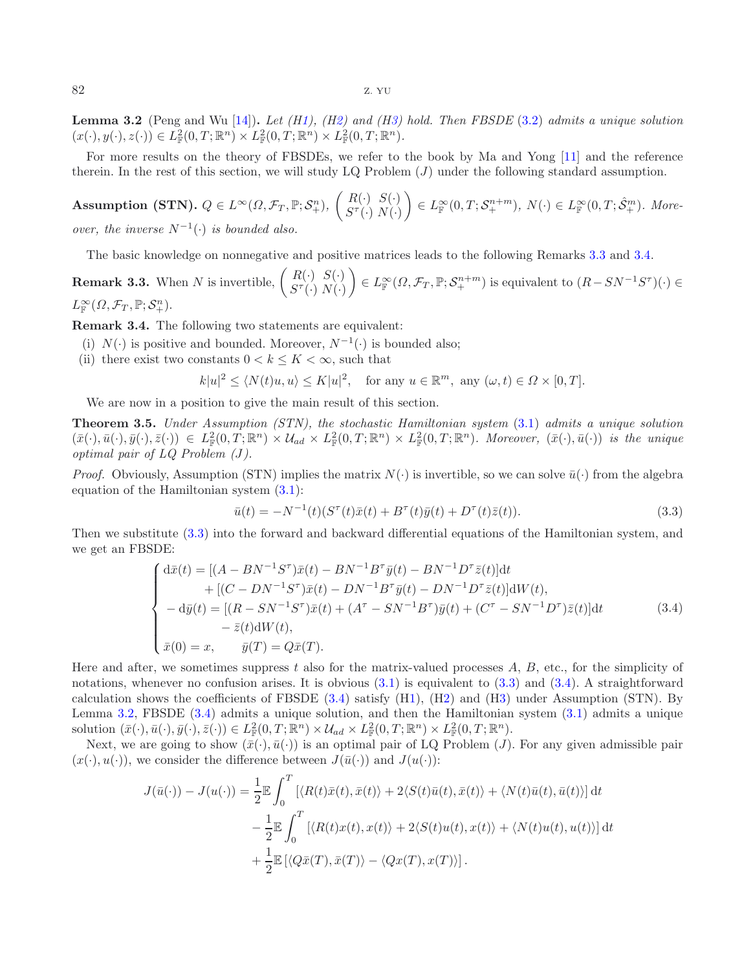**Lemma 3.2** (Peng and Wu [\[14\]](#page-12-3))**.** *Let ([H1\)](#page-3-3), ([H2\)](#page-3-4) and ([H3\)](#page-3-5) hold. Then FBSDE* [\(3.2\)](#page-3-6) *admits a unique solution*  $(x(\cdot), y(\cdot), z(\cdot)) \in L^2_{\mathbb{F}}(0,T; \mathbb{R}^n) \times L^2_{\mathbb{F}}(0,T; \mathbb{R}^n) \times L^2_{\mathbb{F}}(0,T; \mathbb{R}^n)$ .

For more results on the theory of FBSDEs, we refer to the book by Ma and Yong [\[11\]](#page-12-5) and the reference therein. In the rest of this section, we will study  $LQ$  Problem  $(J)$  under the following standard assumption.

 $\textbf{Assumption (STN)}.~Q\in L^{\infty}(\Omega,\mathcal{F}_{T},\mathbb{P};\mathcal{S}_{+}^{n}),~\left(\begin{array}{c} R(\cdot) \;\; S(\cdot) \ R(\cdot) \;\; N(\cdot) \end{array}\right)$  $S^{\tau}(\cdot) N(\cdot)$  $\left( \theta \in L^{\infty}_{\mathbb{F}}(0,T;\mathcal{S}_{+}^{n+m}), N(\cdot) \in L^{\infty}_{\mathbb{F}}(0,T;\hat{\mathcal{S}}_{+}^{m}).$  More*over, the inverse*  $N^{-1}(\cdot)$  *is bounded also.* 

The basic knowledge on nonnegative and positive matrices leads to the following Remarks [3.3](#page-4-0) and [3.4.](#page-4-1)

<span id="page-4-0"></span>**Remark 3.3.** When N is invertible,  $\begin{pmatrix} R(\cdot) & S(\cdot) \\ S^{\tau}(\cdot) & N(\cdot) \end{pmatrix}$  $\mathcal{L} \in L^{\infty}_{\mathbb{F}}(\Omega,\mathcal{F}_T,\mathbb{P};\mathcal{S}_+^{n+m})$  is equivalent to  $(R-SN^{-1}S^{\tau})(\cdot) \in$  $L^{\infty}_{\mathbb{F}}(\Omega,\mathcal{F}_T,\mathbb{P};\mathcal{S}^n_+).$ 

<span id="page-4-1"></span>**Remark 3.4.** The following two statements are equivalent:

- (i)  $N(\cdot)$  is positive and bounded. Moreover,  $N^{-1}(\cdot)$  is bounded also;
- <span id="page-4-3"></span>(ii) there exist two constants  $0 < k \leq K < \infty$ , such that

<span id="page-4-2"></span>
$$
k|u|^2 \le \langle N(t)u, u \rangle \le K|u|^2, \quad \text{for any } u \in \mathbb{R}^m, \text{ any } (\omega, t) \in \Omega \times [0, T].
$$

We are now in a position to give the main result of this section.

<span id="page-4-4"></span>**Theorem 3.5.** *Under Assumption (STN), the stochastic Hamiltonian system* [\(3.1\)](#page-3-2) *admits a unique solution*  $(\bar{x}(\cdot),\bar{u}(\cdot),\bar{y}(\cdot),\bar{z}(\cdot)) \in L^2_{\mathbb{F}}(0,T;\mathbb{R}^n) \times \mathcal{U}_{ad} \times L^2_{\mathbb{F}}(0,T;\mathbb{R}^n) \times L^2_{\mathbb{F}}(0,T;\mathbb{R}^n)$ . Moreover,  $(\bar{x}(\cdot),\bar{u}(\cdot))$  is the unique *optimal pair of LQ Problem (*J*).*

*Proof.* Obviously, Assumption (STN) implies the matrix  $N(\cdot)$  is invertible, so we can solve  $\bar{u}(\cdot)$  from the algebra equation of the Hamiltonian system  $(3.1)$ :

$$
\bar{u}(t) = -N^{-1}(t)(S^{\tau}(t)\bar{x}(t) + B^{\tau}(t)\bar{y}(t) + D^{\tau}(t)\bar{z}(t)).
$$
\n(3.3)

Then we substitute [\(3.3\)](#page-4-2) into the forward and backward differential equations of the Hamiltonian system, and we get an FBSDE:

$$
\begin{cases}\n\mathrm{d}\bar{x}(t) = [(A - BN^{-1}S^{\tau})\bar{x}(t) - BN^{-1}B^{\tau}\bar{y}(t) - BN^{-1}D^{\tau}\bar{z}(t)]\mathrm{d}t \\
+ [(C - DN^{-1}S^{\tau})\bar{x}(t) - DN^{-1}B^{\tau}\bar{y}(t) - DN^{-1}D^{\tau}\bar{z}(t)]\mathrm{d}W(t), \\
-\mathrm{d}\bar{y}(t) = [(R - SN^{-1}S^{\tau})\bar{x}(t) + (A^{\tau} - SN^{-1}B^{\tau})\bar{y}(t) + (C^{\tau} - SN^{-1}D^{\tau})\bar{z}(t)]\mathrm{d}t \\
- \bar{z}(t)\mathrm{d}W(t), \\
\bar{x}(0) = x, \qquad \bar{y}(T) = Q\bar{x}(T).\n\end{cases} (3.4)
$$

Here and after, we sometimes suppress t also for the matrix-valued processes  $A, B$ , etc., for the simplicity of notations, whenever no confusion arises. It is obvious  $(3.1)$  is equivalent to  $(3.3)$  and  $(3.4)$ . A straightforward calculation shows the coefficients of FBSDE  $(3.4)$  satisfy  $(H1)$  $(H1)$ ,  $(H2)$  $(H2)$  and  $(H3)$  $(H3)$  under Assumption (STN). By Lemma [3.2,](#page-3-7) FBSDE [\(3.4\)](#page-4-3) admits a unique solution, and then the Hamiltonian system [\(3.1\)](#page-3-2) admits a unique solution  $(\bar{x}(\cdot), \bar{u}(\cdot), \bar{y}(\cdot), \bar{z}(\cdot)) \in L^2_{\mathbb{F}}(0,T;\mathbb{R}^n) \times \mathcal{U}_{ad} \times L^2_{\mathbb{F}}(0,T;\mathbb{R}^n) \times L^2_{\mathbb{F}}(0,T;\mathbb{R}^n)$ .

Next, we are going to show  $(\bar{x}(\cdot), \bar{u}(\cdot))$  is an optimal pair of LQ Problem (*J*). For any given admissible pair  $(x(\cdot), u(\cdot))$ , we consider the difference between  $J(\bar{u}(\cdot))$  and  $J(u(\cdot))$ :

$$
J(\bar{u}(\cdot)) - J(u(\cdot)) = \frac{1}{2} \mathbb{E} \int_0^T \left[ \langle R(t)\bar{x}(t), \bar{x}(t) \rangle + 2\langle S(t)\bar{u}(t), \bar{x}(t) \rangle + \langle N(t)\bar{u}(t), \bar{u}(t) \rangle \right] dt
$$
  

$$
- \frac{1}{2} \mathbb{E} \int_0^T \left[ \langle R(t)x(t), x(t) \rangle + 2\langle S(t)u(t), x(t) \rangle + \langle N(t)u(t), u(t) \rangle \right] dt
$$
  

$$
+ \frac{1}{2} \mathbb{E} \left[ \langle Q\bar{x}(T), \bar{x}(T) \rangle - \langle Qx(T), x(T) \rangle \right].
$$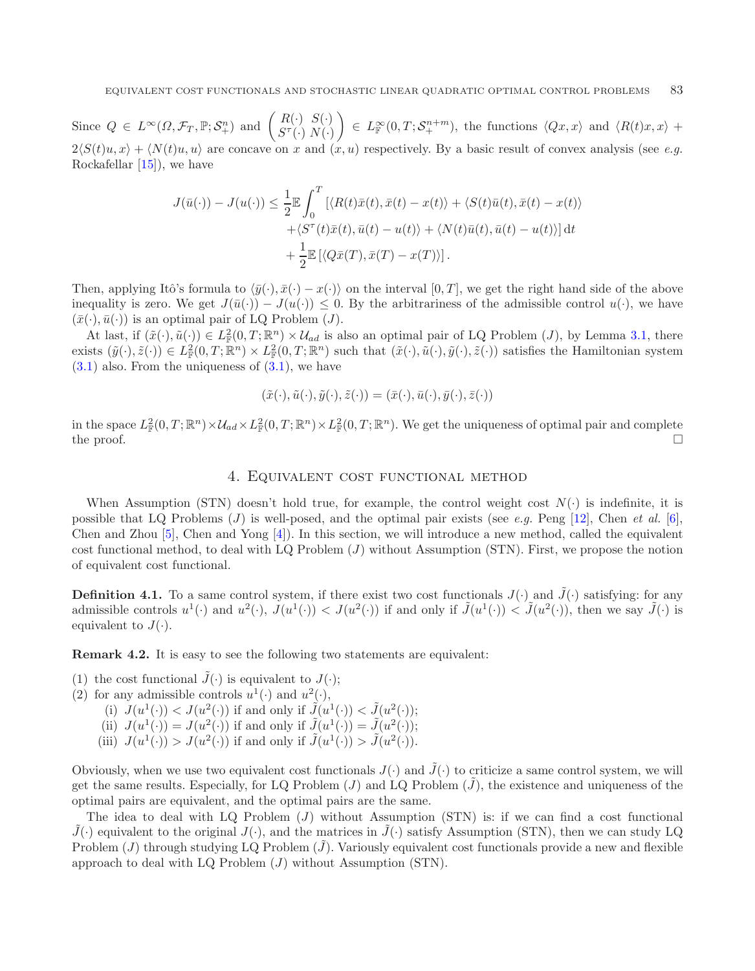Since  $Q \in L^{\infty}(\Omega, \mathcal{F}_T, \mathbb{P}; \mathcal{S}_+^n)$  and  $\begin{pmatrix} R(\cdot) & S(\cdot) \\ S^{\tau}(\cdot) & N(\cdot) \end{pmatrix}$  $\Big\} \in L^{\infty}_{\mathbb{F}}(0,T;\mathcal{S}^{n+m}_+),$  the functions  $\langle Qx,x\rangle$  and  $\langle R(t)x,x\rangle +$  $2\langle S(t)u, x \rangle + \langle N(t)u, u \rangle$  are concave on x and  $(x, u)$  respectively. By a basic result of convex analysis (see *e.g.* Rockafellar [\[15](#page-12-6)]), we have

$$
J(\bar{u}(\cdot)) - J(u(\cdot)) \leq \frac{1}{2} \mathbb{E} \int_0^T \left[ \langle R(t)\bar{x}(t), \bar{x}(t) - x(t) \rangle + \langle S(t)\bar{u}(t), \bar{x}(t) - x(t) \rangle \right. \\ \left. + \langle S^\tau(t)\bar{x}(t), \bar{u}(t) - u(t) \rangle + \langle N(t)\bar{u}(t), \bar{u}(t) - u(t) \rangle \right] dt \\ + \frac{1}{2} \mathbb{E} \left[ \langle Q\bar{x}(T), \bar{x}(T) - x(T) \rangle \right].
$$

Then, applying Itô's formula to  $\langle \bar{y}(\cdot), \bar{x}(\cdot) - x(\cdot) \rangle$  on the interval  $[0, T]$ , we get the right hand side of the above inequality is zero. We get  $J(\bar{u}(\cdot)) - J(u(\cdot)) \leq 0$ . By the arbitrariness of the admissible control  $u(\cdot)$ , we have  $(\bar{x}(\cdot), \bar{u}(\cdot))$  is an optimal pair of LQ Problem (*J*).

At last, if  $(\tilde{x}(\cdot), \tilde{u}(\cdot)) \in L^2_{\mathbb{F}}(0,T;\mathbb{R}^n) \times \mathcal{U}_{ad}$  is also an optimal pair of LQ Problem  $(J)$ , by Lemma [3.1,](#page-3-1) there exists  $(\tilde{y}(\cdot), \tilde{z}(\cdot)) \in L^2_{\mathbb{F}}(0,T; \mathbb{R}^n) \times L^2_{\mathbb{F}}(0,T; \mathbb{R}^n)$  such that  $(\tilde{x}(\cdot), \tilde{u}(\cdot), \tilde{y}(\cdot), \tilde{z}(\cdot))$  satisfies the Hamiltonian system  $(3.1)$  also. From the uniqueness of  $(3.1)$ , we have

$$
(\tilde{x}(\cdot),\tilde{u}(\cdot),\tilde{y}(\cdot),\tilde{z}(\cdot))=(\bar{x}(\cdot),\bar{u}(\cdot),\bar{y}(\cdot),\bar{z}(\cdot))
$$

<span id="page-5-0"></span>in the space  $L^2_{\mathbb{F}}(0,T;\mathbb{R}^n)\times\mathcal{U}_{ad}\times L^2_{\mathbb{F}}(0,T;\mathbb{R}^n)\times L^2_{\mathbb{F}}(0,T;\mathbb{R}^n)$ . We get the uniqueness of optimal pair and complete the proof.  $\Box$ 

#### 4. Equivalent cost functional method

When Assumption (STN) doesn't hold true, for example, the control weight cost  $N(\cdot)$  is indefinite, it is possible that LQ Problems (J) is well-posed, and the optimal pair exists (see *e.g.* Peng [\[12\]](#page-12-1), Chen *et al.* [\[6](#page-11-4)], Chen and Zhou [\[5](#page-11-5)], Chen and Yong [\[4\]](#page-11-6)). In this section, we will introduce a new method, called the equivalent cost functional method, to deal with LQ Problem (J) without Assumption (STN). First, we propose the notion of equivalent cost functional.

**Definition 4.1.** To a same control system, if there exist two cost functionals  $J(\cdot)$  and  $\tilde{J}(\cdot)$  satisfying: for any admissible controls  $u^1(\cdot)$  and  $u^2(\cdot)$ ,  $J(u^1(\cdot)) < J(u^2(\cdot))$  if and only if  $\tilde{J}(u^1(\cdot)) < \tilde{J}(u^2(\cdot))$ , then we say  $\tilde{J}(\cdot)$  is equivalent to  $J(\cdot)$ .

**Remark 4.2.** It is easy to see the following two statements are equivalent:

- (1) the cost functional  $\tilde{J}(\cdot)$  is equivalent to  $J(\cdot)$ ;
- (2) for any admissible controls  $u^1(\cdot)$  and  $u^2(\cdot)$ ,
	- (i)  $J(u^1(\cdot)) < J(u^2(\cdot))$  if and only if  $\tilde{J}(u^1(\cdot)) < \tilde{J}(u^2(\cdot))$ ;
	- (ii)  $J(u^1(\cdot)) = J(u^2(\cdot))$  if and only if  $\tilde{J}(u^1(\cdot)) = \tilde{J}(u^2(\cdot))$ ;
	- (iii)  $J(u^1(\cdot)) > J(u^2(\cdot))$  if and only if  $\tilde{J}(u^1(\cdot)) > \tilde{J}(u^2(\cdot))$ .

Obviously, when we use two equivalent cost functionals  $J(\cdot)$  and  $\tilde{J}(\cdot)$  to criticize a same control system, we will get the same results. Especially, for LQ Problem  $(J)$  and LQ Problem  $(J)$ , the existence and uniqueness of the optimal pairs are equivalent, and the optimal pairs are the same.

The idea to deal with  $LQ$  Problem  $(J)$  without Assumption (STN) is: if we can find a cost functional  $\hat{J}(\cdot)$  equivalent to the original  $J(\cdot)$ , and the matrices in  $\hat{J}(\cdot)$  satisfy Assumption (STN), then we can study LQ Problem  $(J)$  through studying LQ Problem  $(J)$ . Variously equivalent cost functionals provide a new and flexible approach to deal with LQ Problem  $(J)$  without Assumption (STN).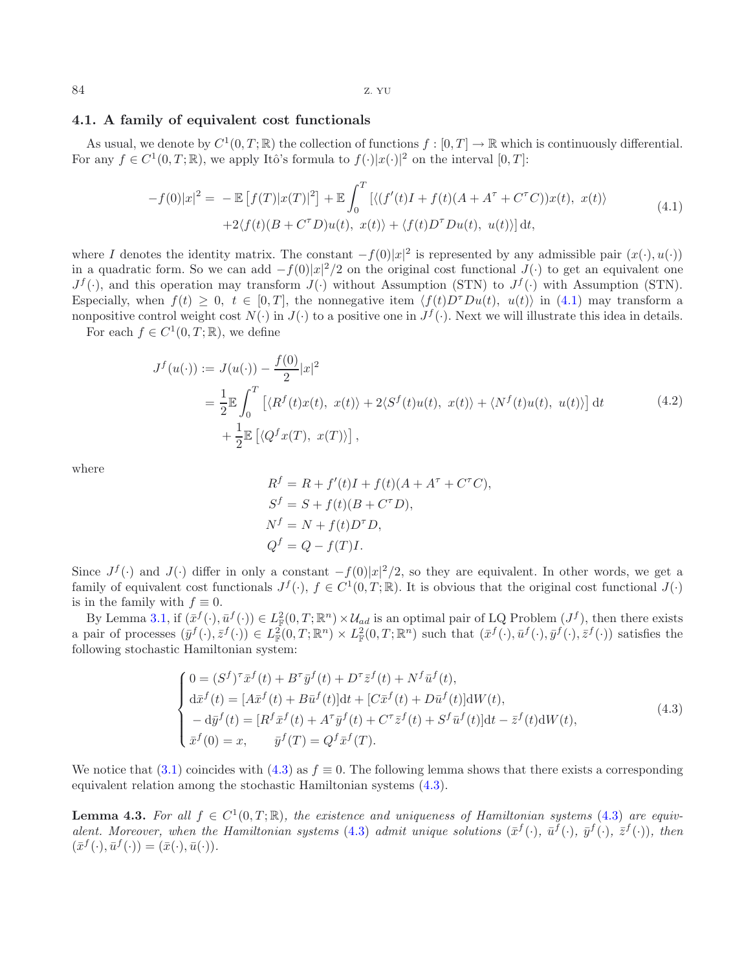## <span id="page-6-0"></span>**4.1. A family of equivalent cost functionals**

As usual, we denote by  $C^1(0,T;\mathbb{R})$  the collection of functions  $f:[0,T] \to \mathbb{R}$  which is continuously differential. For any  $f \in C^1(0,T;\mathbb{R})$ , we apply Itô's formula to  $f(\cdot)|x(\cdot)|^2$  on the interval  $[0,T]$ :

<span id="page-6-4"></span><span id="page-6-1"></span>
$$
-f(0)|x|^{2} = -\mathbb{E}\left[f(T)|x(T)|^{2}\right] + \mathbb{E}\int_{0}^{T}\left[\langle (f'(t)I + f(t)(A + A^{\tau} + C^{\tau}C))x(t), x(t)\rangle + 2\langle f(t)(B + C^{\tau}D)u(t), x(t)\rangle + \langle f(t)D^{\tau}Du(t), u(t)\rangle\right]dt,
$$
\n(4.1)

where I denotes the identity matrix. The constant  $-f(0)|x|^2$  is represented by any admissible pair  $(x(\cdot), u(\cdot))$ in a quadratic form. So we can add  $-f(0)|x|^2/2$  on the original cost functional  $J(\cdot)$  to get an equivalent one  $J^f(\cdot)$ , and this operation may transform  $J(\cdot)$  without Assumption (STN) to  $J^f(\cdot)$  with Assumption (STN). Especially, when  $f(t) \geq 0$ ,  $t \in [0,T]$ , the nonnegative item  $\langle f(t)D^{\tau}Du(t), u(t) \rangle$  in [\(4.1\)](#page-6-1) may transform a nonpositive control weight cost  $N(\cdot)$  in  $J(\cdot)$  to a positive one in  $J^f(\cdot)$ . Next we will illustrate this idea in details.

For each  $f \in C^1(0,T;\mathbb{R})$ , we define

$$
J^f(u(\cdot)) := J(u(\cdot)) - \frac{f(0)}{2}|x|^2
$$
  
=  $\frac{1}{2} \mathbb{E} \int_0^T \left[ \langle R^f(t)x(t), x(t) \rangle + 2 \langle S^f(t)u(t), x(t) \rangle + \langle N^f(t)u(t), u(t) \rangle \right] dt$  (4.2)  
+  $\frac{1}{2} \mathbb{E} \left[ \langle Q^f x(T), x(T) \rangle \right],$ 

where

<span id="page-6-2"></span>
$$
Rf = R + f'(t)I + f(t)(A + A\tau + C\tauC),
$$
  
\n
$$
Sf = S + f(t)(B + C\tauD),
$$
  
\n
$$
Nf = N + f(t)D\tauD,
$$
  
\n
$$
Qf = Q - f(T)I.
$$

Since  $J^f(\cdot)$  and  $J(\cdot)$  differ in only a constant  $-f(0)|x|^2/2$ , so they are equivalent. In other words, we get a family of equivalent cost functionals  $J^f(\cdot)$ ,  $f \in C^1(0,T;\mathbb{R})$ . It is obvious that the original cost functional  $J(\cdot)$ is in the family with  $f \equiv 0$ .

By Lemma [3.1,](#page-3-1) if  $(\bar{x}^f(\cdot), \bar{u}^f(\cdot)) \in L^2_{\mathbb{F}}(0,T;\mathbb{R}^n) \times \mathcal{U}_{ad}$  is an optimal pair of LQ Problem  $(J^f)$ , then there exists a pair of processes  $(\bar{y}^f(\cdot), \bar{z}^f(\cdot)) \in L^2_{\mathbb{F}}(0,T;\mathbb{R}^n) \times L^2_{\mathbb{F}}(0,T;\mathbb{R}^n)$  such that  $(\bar{x}^f(\cdot), \bar{u}^f(\cdot), \bar{y}^f(\cdot), \bar{z}^f(\cdot))$  satisfies the following stochastic Hamiltonian system:

$$
\begin{cases}\n0 = (S^f)^{\tau} \bar{x}^f(t) + B^{\tau} \bar{y}^f(t) + D^{\tau} \bar{z}^f(t) + N^f \bar{u}^f(t), \\
d\bar{x}^f(t) = [A\bar{x}^f(t) + B\bar{u}^f(t)]dt + [C\bar{x}^f(t) + D\bar{u}^f(t)]dW(t), \\
-d\bar{y}^f(t) = [R^f \bar{x}^f(t) + A^{\tau} \bar{y}^f(t) + C^{\tau} \bar{z}^f(t) + S^f \bar{u}^f(t)]dt - \bar{z}^f(t)dW(t), \\
\bar{x}^f(0) = x, \qquad \bar{y}^f(T) = Q^f \bar{x}^f(T).\n\end{cases} \tag{4.3}
$$

<span id="page-6-3"></span>We notice that [\(3.1\)](#page-3-2) coincides with [\(4.3\)](#page-6-2) as  $f \equiv 0$ . The following lemma shows that there exists a corresponding equivalent relation among the stochastic Hamiltonian systems [\(4.3\)](#page-6-2).

**Lemma 4.3.** For all  $f \in C^1(0,T;\mathbb{R})$ , the existence and uniqueness of Hamiltonian systems [\(4.3\)](#page-6-2) are equiv*alent. Moreover, when the Hamiltonian systems* [\(4.3\)](#page-6-2) *admit unique solutions*  $(\bar{x}^f(\cdot), \bar{u}^f(\cdot), \bar{y}^f(\cdot))$ *, then*  $(\bar{x}^f(\cdot), \bar{u}^f(\cdot)) = (\bar{x}(\cdot), \bar{u}(\cdot)).$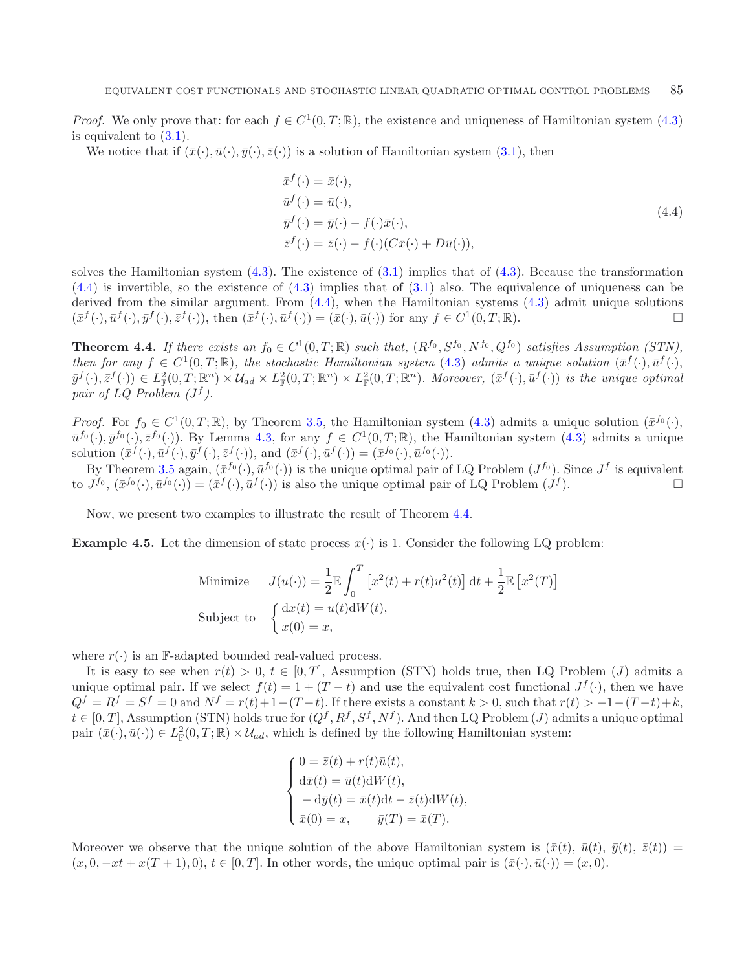*Proof.* We only prove that: for each  $f \in C^1(0,T;\mathbb{R})$ , the existence and uniqueness of Hamiltonian system [\(4.3\)](#page-6-2) is equivalent to  $(3.1)$ .

We notice that if  $(\bar{x}(\cdot), \bar{u}(\cdot), \bar{y}(\cdot), \bar{z}(\cdot))$  is a solution of Hamiltonian system [\(3.1\)](#page-3-2), then

<span id="page-7-0"></span>
$$
\begin{aligned}\n\bar{x}^f(\cdot) &= \bar{x}(\cdot), \\
\bar{u}^f(\cdot) &= \bar{u}(\cdot), \\
\bar{y}^f(\cdot) &= \bar{y}(\cdot) - f(\cdot)\bar{x}(\cdot), \\
\bar{z}^f(\cdot) &= \bar{z}(\cdot) - f(\cdot)(C\bar{x}(\cdot) + D\bar{u}(\cdot)),\n\end{aligned} \tag{4.4}
$$

solves the Hamiltonian system  $(4.3)$ . The existence of  $(3.1)$  implies that of  $(4.3)$ . Because the transformation [\(4.4\)](#page-7-0) is invertible, so the existence of [\(4.3\)](#page-6-2) implies that of [\(3.1\)](#page-3-2) also. The equivalence of uniqueness can be derived from the similar argument. From  $(4.4)$ , when the Hamiltonian systems  $(4.3)$  admit unique solutions  $(\bar{x}^f(\cdot), \bar{u}^f(\cdot), \bar{y}^f(\cdot), \bar{z}^f(\cdot))$ , then  $(\bar{x}^f(\cdot), \bar{u}^f(\cdot)) = (\bar{x}(\cdot), \bar{u}(\cdot))$  for any  $f \in C^1(0, T; \mathbb{R})$ .

<span id="page-7-1"></span>**Theorem 4.4.** *If there exists an*  $f_0 \in C^1(0,T;\mathbb{R})$  *such that,*  $(R^{f_0}, S^{f_0}, N^{f_0}, Q^{f_0})$  *satisfies Assumption (STN), then for any*  $f \in C^1(0,T;\mathbb{R})$ *, the stochastic Hamiltonian system* [\(4.3\)](#page-6-2) *admits a unique solution*  $(\bar{x}^f(\cdot), \bar{u}^f(\cdot))$ *,*  $(\bar{y}^f(\cdot), \bar{z}^f(\cdot)) \in L^2_{\mathbb{F}}(0,T;\mathbb{R}^n) \times \mathcal{U}_{ad} \times L^2_{\mathbb{F}}(0,T;\mathbb{R}^n) \times L^2_{\mathbb{F}}(0,T;\mathbb{R}^n)$ . Moreover,  $(\bar{x}^f(\cdot), \bar{u}^f(\cdot))$  is the unique optimal *pair of LQ Problem*  $(J^f)$ *.* 

*Proof.* For  $f_0 \in C^1(0,T;\mathbb{R})$ , by Theorem [3.5,](#page-4-4) the Hamiltonian system [\(4.3\)](#page-6-2) admits a unique solution  $(\bar{x}^{f_0}(\cdot),$  $\bar{u}^{f_0}(\cdot), \bar{y}^{f_0}(\cdot), \bar{z}^{f_0}(\cdot)$ . By Lemma [4.3,](#page-6-3) for any  $f \in C^1(0,T;\mathbb{R})$ , the Hamiltonian system [\(4.3\)](#page-6-2) admits a unique solution  $(\bar{x}^f(\cdot), \bar{u}^f(\cdot), \bar{y}^f(\cdot), \bar{z}^f(\cdot))$ , and  $(\bar{x}^f(\cdot), \bar{u}^f(\cdot)) = (\bar{x}^{f_0}(\cdot), \bar{u}^{f_0}(\cdot)).$ 

By Theorem [3.5](#page-4-4) again,  $(\bar{x}^{f_0}(\cdot), \bar{u}^{f_0}(\cdot))$  is the unique optimal pair of LQ Problem  $(J^{f_0})$ . Since  $J^f$  is equivalent to  $J^{f_0}$ ,  $(\bar{x}^{f_0}(\cdot), \bar{u}^{f_0}(\cdot)) = (\bar{x}^f(\cdot), \bar{u}^f(\cdot))$  is also the unique optimal pair of LQ Problem  $(J^f)$ .  $\Box$ 

Now, we present two examples to illustrate the result of Theorem [4.4.](#page-7-1)

**Example 4.5.** Let the dimension of state process  $x(\cdot)$  is 1. Consider the following LQ problem:

Minimize 
$$
J(u(\cdot)) = \frac{1}{2} \mathbb{E} \int_0^T \left[ x^2(t) + r(t) u^2(t) \right] dt + \frac{1}{2} \mathbb{E} \left[ x^2(T) \right]
$$
  
Subject to 
$$
\begin{cases} dx(t) = u(t) dW(t), \\ x(0) = x, \end{cases}
$$

where  $r(\cdot)$  is an F-adapted bounded real-valued process.

It is easy to see when  $r(t) > 0$ ,  $t \in [0, T]$ , Assumption (STN) holds true, then LQ Problem (J) admits a unique optimal pair. If we select  $f(t)=1+(T-t)$  and use the equivalent cost functional  $J<sup>f</sup>(\cdot)$ , then we have  $Q^f = R^f = S^f = 0$  and  $N^f = r(t)+1+(T-t)$ . If there exists a constant  $k > 0$ , such that  $r(t) > -1-(T-t)+k$ ,  $t \in [0, T]$ , Assumption (STN) holds true for  $(Q^f, R^f, S^f, N^f)$ . And then LQ Problem (J) admits a unique optimal pair  $(\bar{x}(\cdot), \bar{u}(\cdot)) \in L^2_{\mathbb{F}}(0,T;\mathbb{R}) \times \mathcal{U}_{ad}$ , which is defined by the following Hamiltonian system:

$$
\begin{cases}\n0 = \bar{z}(t) + r(t)\bar{u}(t),\nd\bar{x}(t) = \bar{u}(t)\mathrm{d}W(t),\n- \mathrm{d}\bar{y}(t) = \bar{x}(t)\mathrm{d}t - \bar{z}(t)\mathrm{d}W(t),\n\bar{x}(0) = x, \qquad \bar{y}(T) = \bar{x}(T).\n\end{cases}
$$

Moreover we observe that the unique solution of the above Hamiltonian system is  $(\bar{x}(t), \bar{u}(t), \bar{y}(t), \bar{z}(t)) =$  $(x, 0, -xt + x(T + 1), 0), t \in [0, T].$  In other words, the unique optimal pair is  $(\bar{x}(\cdot), \bar{u}(\cdot)) = (x, 0).$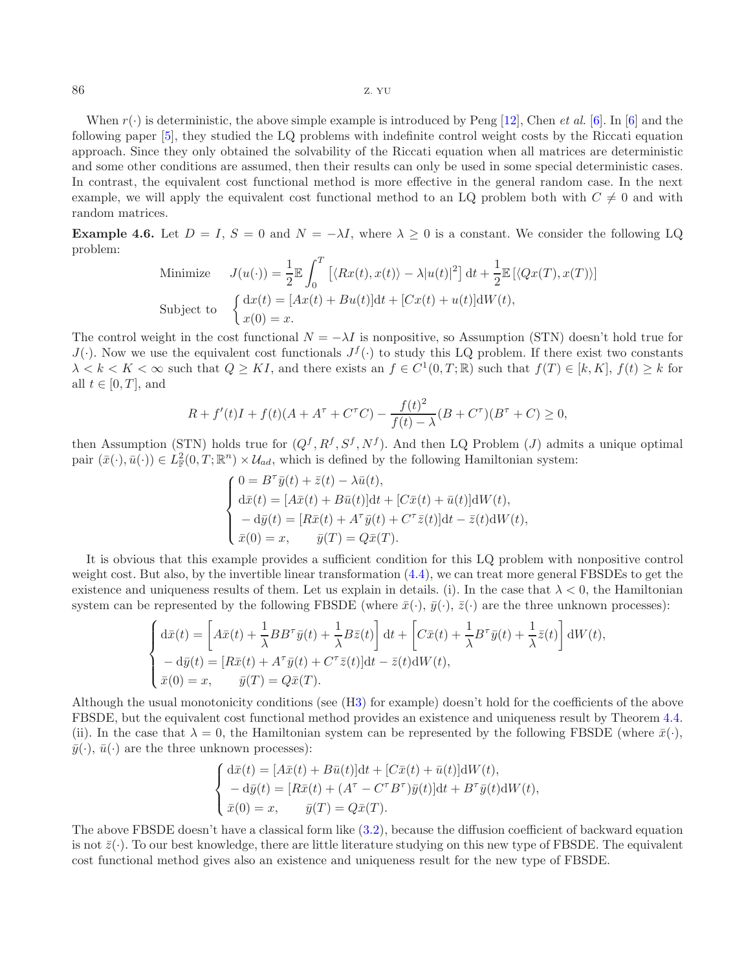When  $r(\cdot)$  is deterministic, the above simple example is introduced by Peng [\[12](#page-12-1)], Chen *et al.* [\[6\]](#page-11-4). In [6] and the following paper [\[5\]](#page-11-5), they studied the LQ problems with indefinite control weight costs by the Riccati equation approach. Since they only obtained the solvability of the Riccati equation when all matrices are deterministic and some other conditions are assumed, then their results can only be used in some special deterministic cases. In contrast, the equivalent cost functional method is more effective in the general random case. In the next example, we will apply the equivalent cost functional method to an LQ problem both with  $C \neq 0$  and with random matrices.

**Example 4.6.** Let  $D = I$ ,  $S = 0$  and  $N = -\lambda I$ , where  $\lambda \geq 0$  is a constant. We consider the following LQ problem:

Minimize 
$$
J(u(\cdot)) = \frac{1}{2} \mathbb{E} \int_0^T \left[ \langle Rx(t), x(t) \rangle - \lambda |u(t)|^2 \right] dt + \frac{1}{2} \mathbb{E} \left[ \langle Qx(T), x(T) \rangle \right]
$$
  
Subject to 
$$
\begin{cases} dx(t) = [Ax(t) + Bu(t)]dt + [Cx(t) + u(t)]dW(t), \\ x(0) = x. \end{cases}
$$

The control weight in the cost functional  $N = -\lambda I$  is nonpositive, so Assumption (STN) doesn't hold true for  $J(\cdot)$ . Now we use the equivalent cost functionals  $J^f(\cdot)$  to study this LQ problem. If there exist two constants  $\lambda < k < K < \infty$  such that  $Q \geq K I$ , and there exists an  $f \in C^1(0,T;\mathbb{R})$  such that  $f(T) \in [k,K], f(t) \geq k$  for all  $t \in [0, T]$ , and

$$
R + f'(t)I + f(t)(A + A^{\tau} + C^{\tau}C) - \frac{f(t)^{2}}{f(t) - \lambda}(B + C^{\tau})(B^{\tau} + C) \ge 0,
$$

then Assumption (STN) holds true for  $(Q^f, R^f, S^f, N^f)$ . And then LQ Problem (J) admits a unique optimal pair  $(\bar{x}(\cdot), \bar{u}(\cdot)) \in L^2_{\mathbb{F}}(0,T;\mathbb{R}^n) \times \mathcal{U}_{ad}$ , which is defined by the following Hamiltonian system:

$$
\begin{cases}\n0 = B^{\tau}\bar{y}(t) + \bar{z}(t) - \lambda \bar{u}(t), \\
d\bar{x}(t) = [A\bar{x}(t) + B\bar{u}(t)]dt + [C\bar{x}(t) + \bar{u}(t)]dW(t), \\
-d\bar{y}(t) = [R\bar{x}(t) + A^{\tau}\bar{y}(t) + C^{\tau}\bar{z}(t)]dt - \bar{z}(t)dW(t), \\
\bar{x}(0) = x, \qquad \bar{y}(T) = Q\bar{x}(T).\n\end{cases}
$$

It is obvious that this example provides a sufficient condition for this LQ problem with nonpositive control weight cost. But also, by the invertible linear transformation  $(4.4)$ , we can treat more general FBSDEs to get the existence and uniqueness results of them. Let us explain in details. (i). In the case that  $\lambda < 0$ , the Hamiltonian system can be represented by the following FBSDE (where  $\bar{x}(\cdot), \bar{y}(\cdot), \bar{z}(\cdot)$  are the three unknown processes):

$$
\begin{cases}\n\mathrm{d}\bar{x}(t) = \left[A\bar{x}(t) + \frac{1}{\lambda}BB^{\tau}\bar{y}(t) + \frac{1}{\lambda}B\bar{z}(t)\right]\mathrm{d}t + \left[C\bar{x}(t) + \frac{1}{\lambda}B^{\tau}\bar{y}(t) + \frac{1}{\lambda}\bar{z}(t)\right]\mathrm{d}W(t), \\
-\mathrm{d}\bar{y}(t) = \left[R\bar{x}(t) + A^{\tau}\bar{y}(t) + C^{\tau}\bar{z}(t)\right]\mathrm{d}t - \bar{z}(t)\mathrm{d}W(t), \\
\bar{x}(0) = x, \qquad \bar{y}(T) = Q\bar{x}(T).\n\end{cases}
$$

Although the usual monotonicity conditions (see ([H3\)](#page-3-5) for example) doesn't hold for the coefficients of the above FBSDE, but the equivalent cost functional method provides an existence and uniqueness result by Theorem [4.4.](#page-7-1) (ii). In the case that  $\lambda = 0$ , the Hamiltonian system can be represented by the following FBSDE (where  $\bar{x}(\cdot)$ ,  $\bar{y}(\cdot), \bar{u}(\cdot)$  are the three unknown processes):

$$
\begin{cases}\n\mathrm{d}\bar{x}(t) = [A\bar{x}(t) + B\bar{u}(t)]\mathrm{d}t + [C\bar{x}(t) + \bar{u}(t)]\mathrm{d}W(t), \\
-\mathrm{d}\bar{y}(t) = [R\bar{x}(t) + (A^{\tau} - C^{\tau}B^{\tau})\bar{y}(t)]\mathrm{d}t + B^{\tau}\bar{y}(t)\mathrm{d}W(t), \\
\bar{x}(0) = x, \qquad \bar{y}(T) = Q\bar{x}(T).\n\end{cases}
$$

The above FBSDE doesn't have a classical form like [\(3.2\)](#page-3-6), because the diffusion coefficient of backward equation is not  $\bar{z}(\cdot)$ . To our best knowledge, there are little literature studying on this new type of FBSDE. The equivalent cost functional method gives also an existence and uniqueness result for the new type of FBSDE.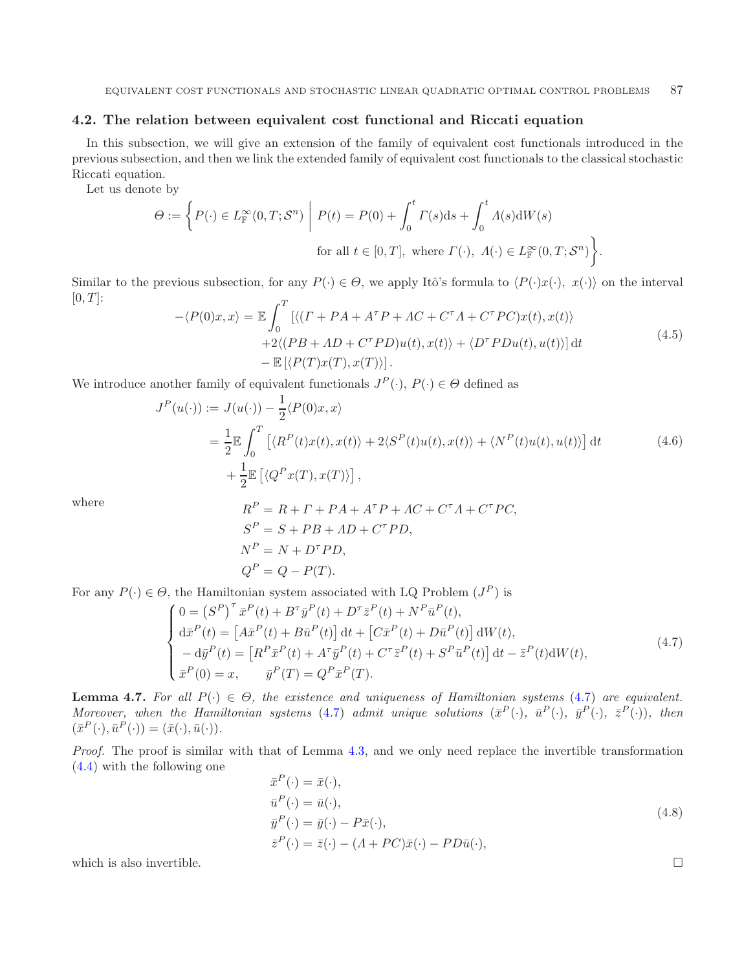## <span id="page-9-0"></span>**4.2. The relation between equivalent cost functional and Riccati equation**

In this subsection, we will give an extension of the family of equivalent cost functionals introduced in the previous subsection, and then we link the extended family of equivalent cost functionals to the classical stochastic Riccati equation.

Let us denote by

<span id="page-9-2"></span>
$$
\Theta := \left\{ P(\cdot) \in L^{\infty}_{\mathbb{F}}(0,T;\mathcal{S}^n) \middle| P(t) = P(0) + \int_0^t \Gamma(s)ds + \int_0^t \Lambda(s)\mathrm{d}W(s) \right\}.
$$
  
for all  $t \in [0,T]$ , where  $\Gamma(\cdot)$ ,  $\Lambda(\cdot) \in L^{\infty}_{\mathbb{F}}(0,T;\mathcal{S}^n)$ .

Similar to the previous subsection, for any  $P(\cdot) \in \Theta$ , we apply Itô's formula to  $\langle P(\cdot)x(\cdot), x(\cdot) \rangle$  on the interval  $[0, T]$ :  $\tau$ 

<span id="page-9-1"></span>
$$
-\langle P(0)x, x \rangle = \mathbb{E} \int_0^1 \left[ \langle (\Gamma + PA + A^{\tau}P + AC + C^{\tau}A + C^{\tau}PC)x(t), x(t) \rangle \right. \left. + 2\langle (PB + AD + C^{\tau}PD)u(t), x(t) \rangle + \langle D^{\tau}PDu(t), u(t) \rangle \right] dt \left. - \mathbb{E} \left[ \langle P(T)x(T), x(T) \rangle \right].
$$
\n(4.5)

We introduce another family of equivalent functionals  $J^P(\cdot)$ ,  $P(\cdot) \in \Theta$  defined as

$$
J^{P}(u(\cdot)) := J(u(\cdot)) - \frac{1}{2} \langle P(0)x, x \rangle
$$
  
= 
$$
\frac{1}{2} \mathbb{E} \int_{0}^{T} \left[ \langle R^{P}(t)x(t), x(t) \rangle + 2 \langle S^{P}(t)u(t), x(t) \rangle + \langle N^{P}(t)u(t), u(t) \rangle \right] dt
$$
(4.6)  
+ 
$$
\frac{1}{2} \mathbb{E} \left[ \langle Q^{P}x(T), x(T) \rangle \right],
$$

where  
\n
$$
R^{P} = R + \Gamma + PA + A^{\tau}P + AC + C^{\tau}A + C^{\tau}PC,
$$
\n
$$
S^{P} = S + PB + AD + C^{\tau}PD,
$$
\n
$$
N^{P} = N + D^{\tau}PD,
$$
\n
$$
Q^{P} = Q - P(T).
$$

For any  $P(\cdot) \in \Theta$ , the Hamiltonian system associated with LQ Problem  $(J^P)$  is

$$
\begin{cases}\n0 = (S^{P})^{\tau} \bar{x}^{P}(t) + B^{\tau} \bar{y}^{P}(t) + D^{\tau} \bar{z}^{P}(t) + N^{P} \bar{u}^{P}(t), \\
d\bar{x}^{P}(t) = [A\bar{x}^{P}(t) + B\bar{u}^{P}(t)] dt + [C\bar{x}^{P}(t) + D\bar{u}^{P}(t)] dW(t), \\
-d\bar{y}^{P}(t) = [R^{P} \bar{x}^{P}(t) + A^{\tau} \bar{y}^{P}(t) + C^{\tau} \bar{z}^{P}(t) + S^{P} \bar{u}^{P}(t)] dt - \bar{z}^{P}(t) dW(t), \\
\bar{x}^{P}(0) = x, \qquad \bar{y}^{P}(T) = Q^{P} \bar{x}^{P}(T).\n\end{cases} (4.7)
$$

**Lemma 4.7.** *For all*  $P(\cdot) \in \Theta$ *, the existence and uniqueness of Hamiltonian systems* [\(4.7\)](#page-9-1) *are equivalent. Moreover, when the Hamiltonian systems* [\(4.7\)](#page-9-1) *admit unique solutions*  $(\bar{x}^P(\cdot), \bar{u}^P(\cdot), \bar{y}^P(\cdot), \bar{z}^P(\cdot))$ *, then*  $(\bar{x}^P(\cdot), \bar{u}^P(\cdot)) = (\bar{x}(\cdot), \bar{u}(\cdot)).$ 

*Proof.* The proof is similar with that of Lemma [4.3,](#page-6-3) and we only need replace the invertible transformation [\(4.4\)](#page-7-0) with the following one

$$
\begin{aligned}\n\bar{x}^P(\cdot) &= \bar{x}(\cdot), \\
\bar{u}^P(\cdot) &= \bar{u}(\cdot), \\
\bar{y}^P(\cdot) &= \bar{y}(\cdot) - P\bar{x}(\cdot), \\
\bar{z}^P(\cdot) &= \bar{z}(\cdot) - (A + PC)\bar{x}(\cdot) - PD\bar{u}(\cdot),\n\end{aligned} \tag{4.8}
$$

which is also invertible.  $\Box$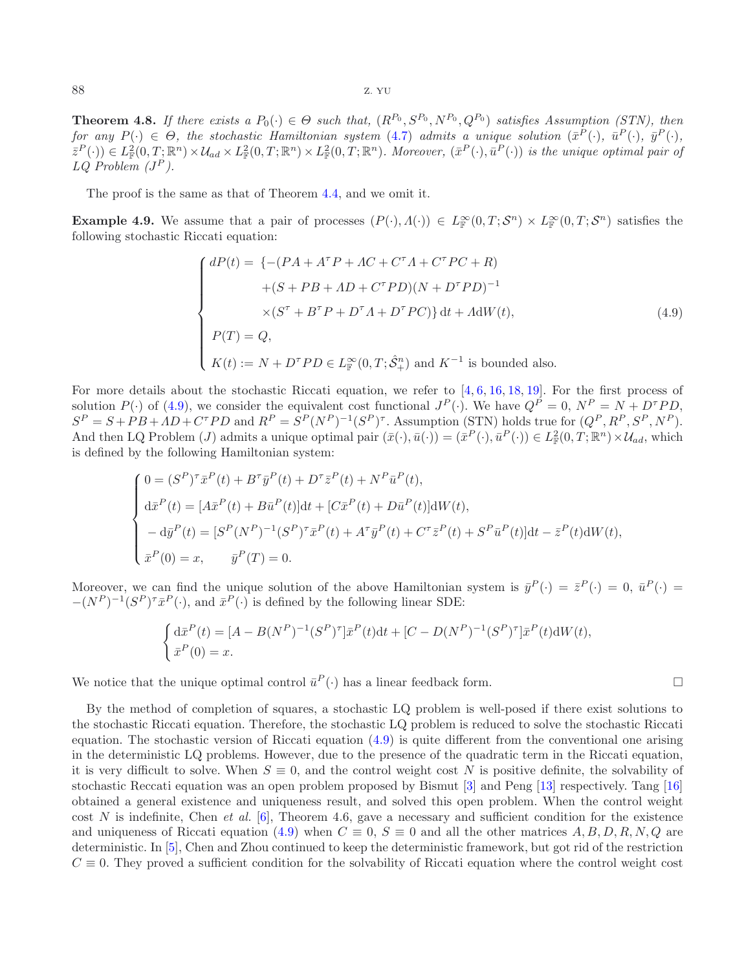<span id="page-10-0"></span>**Theorem 4.8.** *If there exists a*  $P_0(\cdot) \in \Theta$  *such that,*  $(R^{P_0}, S^{P_0}, N^{P_0}, Q^{P_0})$  *satisfies Assumption (STN), then for any*  $P(\cdot) \in \Theta$ , the stochastic Hamiltonian system [\(4.7\)](#page-9-1) *admits a unique solution*  $(\bar{x}^P(\cdot), \bar{u}^P(\cdot), \bar{u}^P(\cdot))$ .  $(\bar{z}^P(\cdot)) \in L^2_{\mathbb{F}}(0,T;\mathbb{R}^n) \times \mathcal{U}_{ad} \times L^2_{\mathbb{F}}(0,T;\mathbb{R}^n) \times L^2_{\mathbb{F}}(0,T;\mathbb{R}^n)$ . Moreover,  $(\bar{x}^P(\cdot),\bar{u}^P(\cdot))$  is the unique optimal pair of  $LQ$  Problem  $(J^P)$ .

The proof is the same as that of Theorem [4.4,](#page-7-1) and we omit it.

<span id="page-10-1"></span>**Example 4.9.** We assume that a pair of processes  $(P(\cdot), \Lambda(\cdot)) \in L^{\infty}_{\mathbb{F}}(0,T; \mathcal{S}^n) \times L^{\infty}_{\mathbb{F}}(0,T; \mathcal{S}^n)$  satisfies the following stochastic Riccati equation:

$$
\begin{cases}\ndP(t) = \left\{ -(PA + A^{\tau}P + AC + C^{\tau}A + C^{\tau}PC + R) \right. \\
\left. + (S + PB + AD + C^{\tau}PD)(N + D^{\tau}PD)^{-1} \right. \\
\left. \times (S^{\tau} + B^{\tau}P + D^{\tau}A + D^{\tau}PC) \right\} dt + A dW(t), \\
P(T) = Q, \\
K(t) := N + D^{\tau}PD \in L_{\mathbb{F}}^{\infty}(0, T; \hat{S}_{+}^{n}) \text{ and } K^{-1} \text{ is bounded also.} \n\end{cases} \tag{4.9}
$$

 $\Box$ 

For more details about the stochastic Riccati equation, we refer to [\[4](#page-11-6), [6](#page-11-4), [16,](#page-12-7) [18,](#page-12-4) [19](#page-12-2)]. For the first process of solution  $P(\cdot)$  of [\(4.9\)](#page-10-0), we consider the equivalent cost functional  $J^P(\cdot)$ . We have  $Q^P = 0$ ,  $N^P = N + D^T P D$ ,  $S^P = S + PB + AD + C^T PD$  and  $R^P = S^P(N^P)^{-1}(S^P)^{\tau}$ . Assumption (STN) holds true for  $(Q^P, R^P, S^P, N^P)$ . And then LQ Problem (*J*) admits a unique optimal pair  $(\bar{x}(\cdot), \bar{u}(\cdot)) = (\bar{x}^P(\cdot), \bar{u}^P(\cdot)) \in L^2_{\mathbb{F}}(0,T; \mathbb{R}^n) \times \mathcal{U}_{ad}$ , which is defined by the following Hamiltonian system:

$$
\begin{cases}\n0 = (S^P)^{\tau} \bar{x}^P(t) + B^{\tau} \bar{y}^P(t) + D^{\tau} \bar{z}^P(t) + N^P \bar{u}^P(t), \\
d\bar{x}^P(t) = [A\bar{x}^P(t) + B\bar{u}^P(t)]dt + [C\bar{x}^P(t) + D\bar{u}^P(t)]dW(t), \\
-d\bar{y}^P(t) = [S^P(N^P)^{-1}(S^P)^{\tau} \bar{x}^P(t) + A^{\tau} \bar{y}^P(t) + C^{\tau} \bar{z}^P(t) + S^P \bar{u}^P(t)]dt - \bar{z}^P(t)dW(t), \\
\bar{x}^P(0) = x, \qquad \bar{y}^P(T) = 0.\n\end{cases}
$$

Moreover, we can find the unique solution of the above Hamiltonian system is  $\bar{y}^P(\cdot)=\bar{z}^P(\cdot)=0, \bar{u}^P(\cdot)=0$  $-(N^P)^{-1}(S^P)^{\tau} \bar{x}^P(\cdot)$ , and  $\bar{x}^P(\cdot)$  is defined by the following linear SDE:

$$
\begin{cases} d\bar{x}^P(t) = [A - B(N^P)^{-1}(S^P)^{\tau}] \bar{x}^P(t) dt + [C - D(N^P)^{-1}(S^P)^{\tau}] \bar{x}^P(t) dW(t), \\ \bar{x}^P(0) = x. \end{cases}
$$

We notice that the unique optimal control  $\bar{u}^P(\cdot)$  has a linear feedback form.

By the method of completion of squares, a stochastic LQ problem is well-posed if there exist solutions to the stochastic Riccati equation. Therefore, the stochastic LQ problem is reduced to solve the stochastic Riccati equation. The stochastic version of Riccati equation [\(4.9\)](#page-10-0) is quite different from the conventional one arising in the deterministic LQ problems. However, due to the presence of the quadratic term in the Riccati equation, it is very difficult to solve. When  $S \equiv 0$ , and the control weight cost N is positive definite, the solvability of stochastic Reccati equation was an open problem proposed by Bismut [\[3\]](#page-11-9) and Peng [\[13\]](#page-12-8) respectively. Tang [\[16\]](#page-12-7) obtained a general existence and uniqueness result, and solved this open problem. When the control weight cost N is indefinite, Chen *et al.* [\[6](#page-11-4)], Theorem 4.6, gave a necessary and sufficient condition for the existence and uniqueness of Riccati equation [\(4.9\)](#page-10-0) when  $C \equiv 0$ ,  $S \equiv 0$  and all the other matrices  $A, B, D, R, N, Q$  are deterministic. In [\[5\]](#page-11-5), Chen and Zhou continued to keep the deterministic framework, but got rid of the restriction  $C \equiv 0$ . They proved a sufficient condition for the solvability of Riccati equation where the control weight cost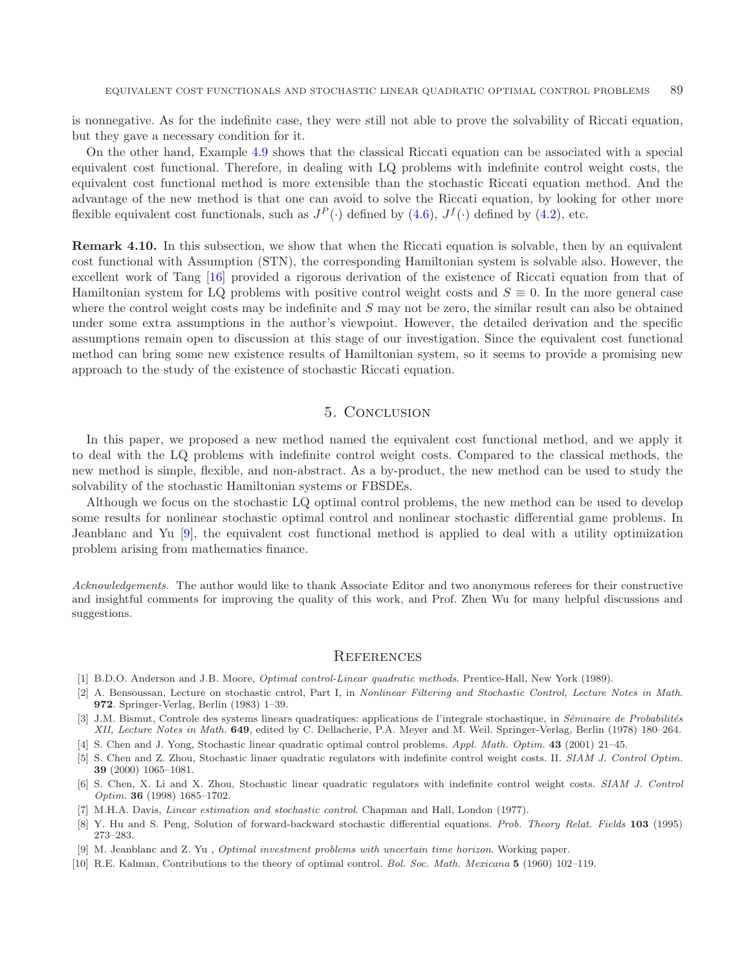is nonnegative. As for the indefinite case, they were still not able to prove the solvability of Riccati equation, but they gave a necessary condition for it.

On the other hand, Example [4.9](#page-10-1) shows that the classical Riccati equation can be associated with a special equivalent cost functional. Therefore, in dealing with LQ problems with indefinite control weight costs, the equivalent cost functional method is more extensible than the stochastic Riccati equation method. And the advantage of the new method is that one can avoid to solve the Riccati equation, by looking for other more flexible equivalent cost functionals, such as  $J^P(\cdot)$  defined by  $(4.6)$ ,  $J^f(\cdot)$  defined by  $(4.2)$ , etc.

**Remark 4.10.** In this subsection, we show that when the Riccati equation is solvable, then by an equivalent cost functional with Assumption (STN), the corresponding Hamiltonian system is solvable also. However, the excellent work of Tang [\[16](#page-12-7)] provided a rigorous derivation of the existence of Riccati equation from that of Hamiltonian system for LQ problems with positive control weight costs and  $S \equiv 0$ . In the more general case where the control weight costs may be indefinite and S may not be zero, the similar result can also be obtained under some extra assumptions in the author's viewpoint. However, the detailed derivation and the specific assumptions remain open to discussion at this stage of our investigation. Since the equivalent cost functional method can bring some new existence results of Hamiltonian system, so it seems to provide a promising new approach to the study of the existence of stochastic Riccati equation.

## 5. Conclusion

<span id="page-11-7"></span>In this paper, we proposed a new method named the equivalent cost functional method, and we apply it to deal with the LQ problems with indefinite control weight costs. Compared to the classical methods, the new method is simple, flexible, and non-abstract. As a by-product, the new method can be used to study the solvability of the stochastic Hamiltonian systems or FBSDEs.

Although we focus on the stochastic LQ optimal control problems, the new method can be used to develop some results for nonlinear stochastic optimal control and nonlinear stochastic differential game problems. In Jeanblanc and Yu [\[9\]](#page-11-10), the equivalent cost functional method is applied to deal with a utility optimization problem arising from mathematics finance.

*Acknowledgements.* The author would like to thank Associate Editor and two anonymous referees for their constructive and insightful comments for improving the quality of this work, and Prof. Zhen Wu for many helpful discussions and suggestions.

#### **REFERENCES**

- <span id="page-11-1"></span>[1] B.D.O. Anderson and J.B. Moore, Optimal control-Linear quadratic methods. Prentice-Hall, New York (1989).
- <span id="page-11-3"></span>[2] A. Bensoussan, Lecture on stochastic cntrol, Part I, in Nonlinear Filtering and Stochastic Control, Lecture Notes in Math. **972**. Springer-Verlag, Berlin (1983) 1–39.
- <span id="page-11-9"></span>[3] J.M. Bismut, Controle des systems linears quadratiques: applications de l'integrale stochastique, in Séminaire de Probabilités XII, Lecture Notes in Math. **649**, edited by C. Dellacherie, P.A. Meyer and M. Weil. Springer-Verlag, Berlin (1978) 180–264.
- <span id="page-11-6"></span>[4] S. Chen and J. Yong, Stochastic linear quadratic optimal control problems. Appl. Math. Optim. **43** (2001) 21–45.
- <span id="page-11-5"></span>[5] S. Chen and Z. Zhou, Stochastic linaer quadratic regulators with indefinite control weight costs. II. SIAM J. Control Optim. **39** (2000) 1065–1081.
- <span id="page-11-4"></span>[6] S. Chen, X. Li and X. Zhou, Stochastic linear quadratic regulators with indefinite control weight costs. SIAM J. Control Optim. **36** (1998) 1685–1702.
- [7] M.H.A. Davis, Linear estimation and stochastic control. Chapman and Hall, London (1977).
- <span id="page-11-8"></span><span id="page-11-2"></span>[8] Y. Hu and S. Peng, Solution of forward-backward stochastic differential equations. Prob. Theory Relat. Fields **103** (1995) 273–283.
- [9] M. Jeanblanc and Z. Yu , Optimal investment problems with uncertain time horizon. Working paper.
- <span id="page-11-10"></span><span id="page-11-0"></span>[10] R.E. Kalman, Contributions to the theory of optimal control. Bol. Soc. Math. Mexicana **5** (1960) 102–119.